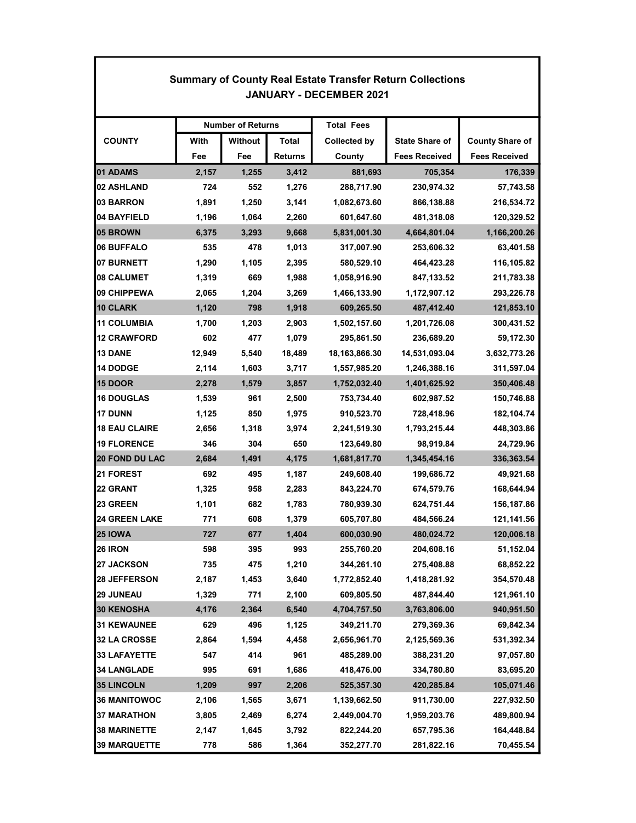| <b>Summary of County Real Estate Transfer Return Collections</b><br><b>JANUARY - DECEMBER 2021</b> |                          |         |                |                     |                       |                        |  |  |  |
|----------------------------------------------------------------------------------------------------|--------------------------|---------|----------------|---------------------|-----------------------|------------------------|--|--|--|
|                                                                                                    | <b>Number of Returns</b> |         |                | <b>Total Fees</b>   |                       |                        |  |  |  |
| <b>COUNTY</b>                                                                                      | With                     | Without | Total          | <b>Collected by</b> | <b>State Share of</b> | <b>County Share of</b> |  |  |  |
|                                                                                                    | Fee                      | Fee     | <b>Returns</b> | County              | <b>Fees Received</b>  | <b>Fees Received</b>   |  |  |  |
| 01 ADAMS                                                                                           | 2,157                    | 1,255   | 3,412          | 881,693             | 705,354               | 176,339                |  |  |  |
| 02 ASHLAND                                                                                         | 724                      | 552     | 1,276          | 288,717.90          | 230,974.32            | 57,743.58              |  |  |  |
| 03 BARRON                                                                                          | 1,891                    | 1,250   | 3,141          | 1,082,673.60        | 866,138.88            | 216,534.72             |  |  |  |
| 04 BAYFIELD                                                                                        | 1,196                    | 1,064   | 2,260          | 601,647.60          | 481,318.08            | 120,329.52             |  |  |  |
| 05 BROWN                                                                                           | 6,375                    | 3,293   | 9,668          | 5,831,001.30        | 4,664,801.04          | 1,166,200.26           |  |  |  |
| 06 BUFFALO                                                                                         | 535                      | 478     | 1,013          | 317,007.90          | 253,606.32            | 63,401.58              |  |  |  |
| 07 BURNETT                                                                                         | 1,290                    | 1,105   | 2,395          | 580,529.10          | 464,423.28            | 116,105.82             |  |  |  |
| <b>08 CALUMET</b>                                                                                  | 1,319                    | 669     | 1,988          | 1,058,916.90        | 847,133.52            | 211,783.38             |  |  |  |
| 09 CHIPPEWA                                                                                        | 2,065                    | 1,204   | 3,269          | 1,466,133.90        | 1,172,907.12          | 293,226.78             |  |  |  |
| 10 CLARK                                                                                           | 1,120                    | 798     | 1,918          | 609,265.50          | 487,412.40            | 121,853.10             |  |  |  |
| 11 COLUMBIA                                                                                        | 1,700                    | 1,203   | 2,903          | 1,502,157.60        | 1,201,726.08          | 300,431.52             |  |  |  |
| 12 CRAWFORD                                                                                        | 602                      | 477     | 1,079          | 295,861.50          | 236,689.20            | 59,172.30              |  |  |  |
| <b>13 DANE</b>                                                                                     | 12,949                   | 5,540   | 18,489         | 18,163,866.30       | 14,531,093.04         | 3,632,773.26           |  |  |  |
| 14 DODGE                                                                                           | 2,114                    | 1,603   | 3,717          | 1,557,985.20        | 1,246,388.16          | 311,597.04             |  |  |  |
| <b>15 DOOR</b>                                                                                     | 2,278                    | 1,579   | 3,857          | 1,752,032.40        | 1,401,625.92          | 350,406.48             |  |  |  |
| 16 DOUGLAS                                                                                         | 1,539                    | 961     | 2,500          | 753,734.40          | 602,987.52            | 150,746.88             |  |  |  |
| <b>17 DUNN</b>                                                                                     | 1,125                    | 850     | 1,975          | 910,523.70          | 728,418.96            | 182,104.74             |  |  |  |
| <b>18 EAU CLAIRE</b>                                                                               | 2,656                    | 1,318   | 3,974          | 2,241,519.30        | 1,793,215.44          | 448,303.86             |  |  |  |
| <b>19 FLORENCE</b>                                                                                 | 346                      | 304     | 650            | 123,649.80          | 98,919.84             | 24,729.96              |  |  |  |
| <b>20 FOND DU LAC</b>                                                                              | 2,684                    | 1,491   | 4,175          | 1,681,817.70        | 1,345,454.16          | 336,363.54             |  |  |  |
| <b>21 FOREST</b>                                                                                   | 692                      | 495     | 1,187          | 249,608.40          | 199,686.72            | 49,921.68              |  |  |  |
| 22 GRANT                                                                                           | 1,325                    | 958     | 2,283          | 843,224.70          | 674,579.76            | 168,644.94             |  |  |  |
| <b>23 GREEN</b>                                                                                    | 1,101                    | 682     | 1,783          | 780,939.30          | 624,751.44            | 156,187.86             |  |  |  |
| <b>24 GREEN LAKE</b>                                                                               | 771                      | 608     | 1,379          | 605,707.80          | 484,566.24            | 121,141.56             |  |  |  |
| <b>25 IOWA</b>                                                                                     | 727                      | 677     | 1,404          | 600,030.90          | 480,024.72            | 120,006.18             |  |  |  |
| 26 IRON                                                                                            | 598                      | 395     | 993            | 255,760.20          | 204,608.16            | 51,152.04              |  |  |  |
| 27 JACKSON                                                                                         | 735                      | 475     | 1,210          | 344,261.10          | 275,408.88            | 68,852.22              |  |  |  |
| 28 JEFFERSON                                                                                       | 2,187                    | 1,453   | 3,640          | 1,772,852.40        | 1,418,281.92          | 354,570.48             |  |  |  |
| <b>29 JUNEAU</b>                                                                                   | 1,329                    | 771     | 2,100          | 609,805.50          | 487,844.40            | 121,961.10             |  |  |  |
| 30 KENOSHA                                                                                         | 4,176                    | 2,364   | 6,540          | 4,704,757.50        | 3,763,806.00          | 940,951.50             |  |  |  |
| <b>31 KEWAUNEE</b>                                                                                 | 629                      | 496     | 1,125          | 349,211.70          | 279,369.36            | 69,842.34              |  |  |  |
| 32 LA CROSSE                                                                                       | 2,864                    | 1,594   | 4,458          | 2,656,961.70        | 2,125,569.36          | 531,392.34             |  |  |  |
| 33 LAFAYETTE                                                                                       | 547                      | 414     | 961            | 485,289.00          | 388,231.20            | 97,057.80              |  |  |  |
| <b>34 LANGLADE</b>                                                                                 | 995                      | 691     | 1,686          | 418,476.00          | 334,780.80            | 83,695.20              |  |  |  |
| <b>35 LINCOLN</b>                                                                                  | 1,209                    | 997     | 2,206          | 525,357.30          | 420,285.84            | 105,071.46             |  |  |  |
| <b>36 MANITOWOC</b>                                                                                | 2,106                    | 1,565   | 3,671          | 1,139,662.50        | 911,730.00            | 227,932.50             |  |  |  |
| <b>37 MARATHON</b>                                                                                 | 3,805                    | 2,469   | 6,274          | 2,449,004.70        | 1,959,203.76          | 489,800.94             |  |  |  |
| <b>38 MARINETTE</b>                                                                                | 2,147                    | 1,645   | 3,792          | 822,244.20          | 657,795.36            | 164,448.84             |  |  |  |
| <b>39 MARQUETTE</b>                                                                                | 778                      | 586     | 1,364          | 352,277.70          | 281,822.16            | 70,455.54              |  |  |  |

Г